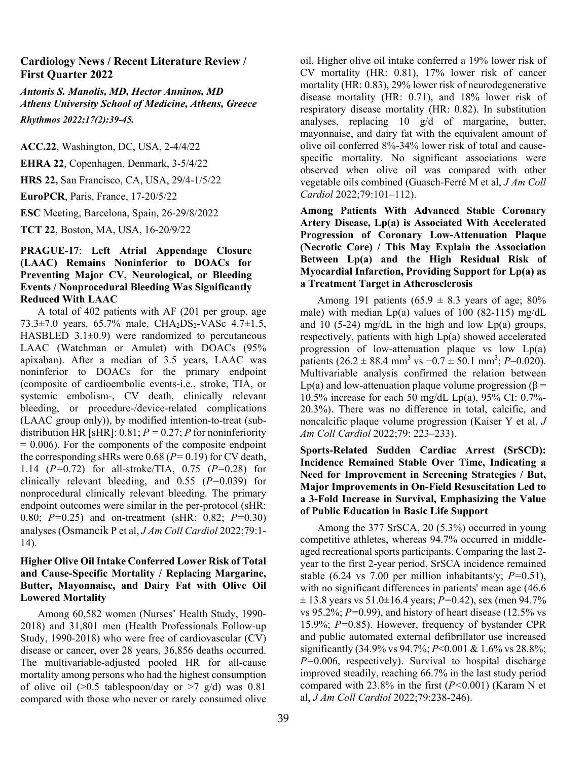### **Cardiology News / Recent Literature Review / First Quarter 2022**

*Antonis S. Manolis, MD, Hector Anninos, MD Athens University School of Medicine, Athens, Greece Rhythmos 2022;17(2):39-45.* 

**ACC.22**, Washington, DC, USA, 2-4/4/22

**EHRA 22**, Copenhagen, Denmark, 3-5/4/22

**HRS 22,** San Francisco, CA, USA, 29/4-1/5/22

**EuroPCR**, Paris, France, 17-20/5/22

**ESC** Meeting, Barcelona, Spain, 26-29/8/2022

**TCT 22**, Boston, MA, USA, 16-20/9/22

### **PRAGUE-17**: **Left Atrial Appendage Closure (LAAC) Remains Noninferior to DOACs for Preventing Major CV, Neurological, or Bleeding Events / Nonprocedural Bleeding Was Significantly Reduced With LAAC**

A total of 402 patients with AF (201 per group, age 73.3 $\pm$ 7.0 years, 65.7% male, CHA<sub>2</sub>DS<sub>2</sub>-VASc 4.7 $\pm$ 1.5, HASBLED  $3.1\pm0.9$ ) were randomized to percutaneous LAAC (Watchman or Amulet) with DOACs (95% apixaban). After a median of 3.5 years, LAAC was noninferior to DOACs for the primary endpoint (composite of cardioembolic events-i.e., stroke, TIA, or systemic embolism-, CV death, clinically relevant bleeding, or procedure-/device-related complications (LAAC group only)), by modified intention-to-treat (subdistribution HR [sHR]:  $0.81; P = 0.27; P$  for noninferiority  $= 0.006$ ). For the components of the composite endpoint the corresponding sHRs were 0.68 (*P=* 0.19) for CV death, 1.14 (*P=*0.72) for all-stroke/TIA, 0.75 (*P=*0.28) for clinically relevant bleeding, and 0.55 (*P=*0.039) for nonprocedural clinically relevant bleeding. The primary endpoint outcomes were similar in the per-protocol (sHR: 0.80; *P=*0.25) and on-treatment (sHR: 0.82; *P=*0.30) analyses (Osmancik P et al, *J Am Coll Cardiol* 2022;79:1- 14).

### **Higher Olive Oil Intake Conferred Lower Risk of Total and Cause-Specific Mortality / Replacing Margarine, Butter, Mayonnaise, and Dairy Fat with Olive Oil Lowered Mortality**

Among 60,582 women (Nurses' Health Study, 1990- 2018) and 31,801 men (Health Professionals Follow-up Study, 1990-2018) who were free of cardiovascular (CV) disease or cancer, over 28 years, 36,856 deaths occurred. The multivariable-adjusted pooled HR for all-cause mortality among persons who had the highest consumption of olive oil  $(0.5 \text{ tablespoon/day or } 0.7 \text{ g/d})$  was 0.81 compared with those who never or rarely consumed olive oil. Higher olive oil intake conferred a 19% lower risk of CV mortality (HR: 0.81), 17% lower risk of cancer mortality (HR: 0.83), 29% lower risk of neurodegenerative disease mortality (HR: 0.71), and 18% lower risk of respiratory disease mortality (HR: 0.82). In substitution analyses, replacing 10 g/d of margarine, butter, mayonnaise, and dairy fat with the equivalent amount of olive oil conferred 8%-34% lower risk of total and causespecific mortality. No significant associations were observed when olive oil was compared with other vegetable oils combined (Guasch-Ferré M et al, *J Am Coll Cardiol* 2022;79:101–112).

**Among Patients With Advanced Stable Coronary Artery Disease, Lp(a) is Associated With Accelerated Progression of Coronary Low-Attenuation Plaque (Necrotic Core) / This May Explain the Association Between Lp(a) and the High Residual Risk of Myocardial Infarction, Providing Support for Lp(a) as a Treatment Target in Atherosclerosis** 

Among 191 patients (65.9  $\pm$  8.3 years of age; 80% male) with median  $Lp(a)$  values of 100 (82-115) mg/dL and 10 (5-24) mg/dL in the high and low  $Lp(a)$  groups, respectively, patients with high Lp(a) showed accelerated progression of low-attenuation plaque vs low Lp(a) patients  $(26.2 \pm 88.4 \text{ mm}^3 \text{ vs } -0.7 \pm 50.1 \text{ mm}^3; P=0.020)$ . Multivariable analysis confirmed the relation between Lp(a) and low-attenuation plaque volume progression ( $β =$ 10.5% increase for each 50 mg/dL Lp(a), 95% CI: 0.7%- 20.3%). There was no difference in total, calcific, and noncalcific plaque volume progression (Kaiser Y et al, *J Am Coll Cardiol* 2022;79: 223–233).

# **Sports-Related Sudden Cardiac Arrest (SrSCD): Incidence Remained Stable Over Time, Indicating a Need for Improvement in Screening Strategies / But, Major Improvements in On-Field Resuscitation Led to a 3-Fold Increase in Survival, Emphasizing the Value of Public Education in Basic Life Support**

Among the 377 SrSCA, 20 (5.3%) occurred in young competitive athletes, whereas 94.7% occurred in middleaged recreational sports participants. Comparing the last 2 year to the first 2-year period, SrSCA incidence remained stable (6.24 vs 7.00 per million inhabitants/y; *P=*0.51), with no significant differences in patients' mean age (46.6 ± 13.8 years vs 51.0±16.4 years; *P=*0.42), sex (men 94.7% vs 95.2%; *P=*0.99), and history of heart disease (12.5% vs 15.9%; *P=*0.85). However, frequency of bystander CPR and public automated external defibrillator use increased significantly (34.9% vs 94.7%; *P*<0.001 & 1.6% vs 28.8%; *P=*0.006, respectively). Survival to hospital discharge improved steadily, reaching 66.7% in the last study period compared with 23.8% in the first (*P<*0.001) (Karam N et al, *J Am Coll Cardiol* 2022;79:238-246).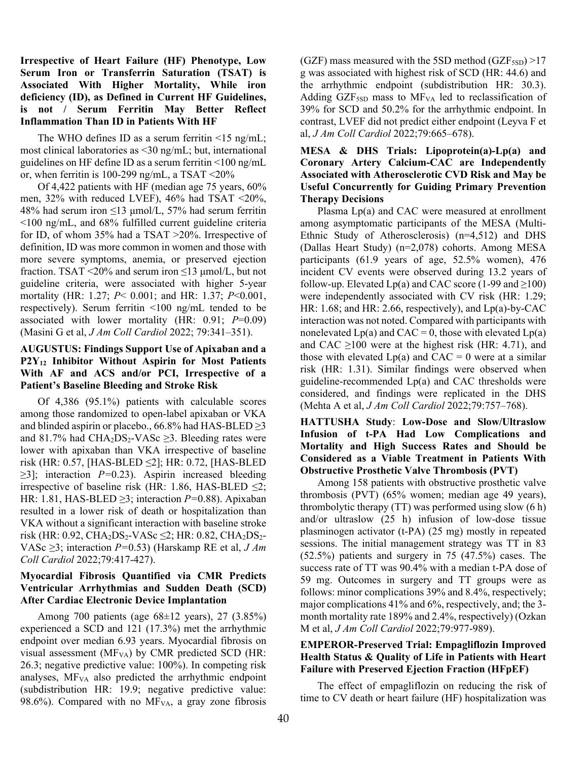## **Irrespective of Heart Failure (HF) Phenotype, Low Serum Iron or Transferrin Saturation (TSAT) is Associated With Higher Mortality, While iron deficiency (ID), as Defined in Current HF Guidelines, is not / Serum Ferritin May Better Reflect Inflammation Than ID in Patients With HF**

The WHO defines ID as a serum ferritin  $\leq 15$  ng/mL; most clinical laboratories as <30 ng/mL; but, international guidelines on HF define ID as a serum ferritin <100 ng/mL or, when ferritin is 100-299 ng/mL, a TSAT <20%

Of 4,422 patients with HF (median age 75 years, 60% men, 32% with reduced LVEF), 46% had TSAT <20%, 48% had serum iron  $\leq$ 13 µmol/L, 57% had serum ferritin <100 ng/mL, and 68% fulfilled current guideline criteria for ID, of whom 35% had a TSAT >20%. Irrespective of definition, ID was more common in women and those with more severe symptoms, anemia, or preserved ejection fraction. TSAT <20% and serum iron  $\leq$ 13 µmol/L, but not guideline criteria, were associated with higher 5-year mortality (HR: 1.27; *P*< 0.001; and HR: 1.37; *P*<0.001, respectively). Serum ferritin <100 ng/mL tended to be associated with lower mortality (HR: 0.91; *P*=0.09) (Masini G et al, *J Am Coll Cardiol* 2022; 79:341–351).

# **AUGUSTUS: Findings Support Use of Apixaban and a P2Y12 Inhibitor Without Aspirin for Most Patients With AF and ACS and/or PCI, Irrespective of a Patient's Baseline Bleeding and Stroke Risk**

Of 4,386 (95.1%) patients with calculable scores among those randomized to open-label apixaban or VKA and blinded aspirin or placebo.,  $66.8\%$  had HAS-BLED  $\geq$ 3 and 81.7% had  $\text{CHA}_2\text{DS}_2\text{-VASc} \geq 3$ . Bleeding rates were lower with apixaban than VKA irrespective of baseline risk (HR: 0.57, [HAS-BLED ≤2]; HR: 0.72, [HAS-BLED ≥3]; interaction *P=*0.23). Aspirin increased bleeding irrespective of baseline risk (HR: 1.86, HAS-BLED  $\leq$ 2; HR: 1.81, HAS-BLED ≥3; interaction *P=*0.88). Apixaban resulted in a lower risk of death or hospitalization than VKA without a significant interaction with baseline stroke risk (HR: 0.92, CHA<sub>2</sub>DS<sub>2</sub>-VASc ≤2; HR: 0.82, CHA<sub>2</sub>DS<sub>2</sub>-VASc ≥3; interaction *P=*0.53) (Harskamp RE et al, *J Am Coll Cardiol* 2022;79:417-427).

# **Myocardial Fibrosis Quantified via CMR Predicts Ventricular Arrhythmias and Sudden Death (SCD) After Cardiac Electronic Device Implantation**

Among 700 patients (age 68±12 years), 27 (3.85%) experienced a SCD and 121 (17.3%) met the arrhythmic endpoint over median 6.93 years. Myocardial fibrosis on visual assessment ( $MF<sub>VA</sub>$ ) by CMR predicted SCD (HR: 26.3; negative predictive value: 100%). In competing risk analyses,  $MF<sub>VA</sub>$  also predicted the arrhythmic endpoint (subdistribution HR: 19.9; negative predictive value: 98.6%). Compared with no  $MF<sub>VA</sub>$ , a gray zone fibrosis

(GZF) mass measured with the 5SD method (GZF $_{5SD}$ ) >17 g was associated with highest risk of SCD (HR: 44.6) and the arrhythmic endpoint (subdistribution HR: 30.3). Adding GZF $_{5SD}$  mass to MF<sub>VA</sub> led to reclassification of 39% for SCD and 50.2% for the arrhythmic endpoint. In contrast, LVEF did not predict either endpoint (Leyva F et al, *J Am Coll Cardiol* 2022;79:665–678).

## **MESA & DHS Trials: Lipoprotein(a)-Lp(a) and Coronary Artery Calcium-CAC are Independently Associated with Atherosclerotic CVD Risk and May be Useful Concurrently for Guiding Primary Prevention Therapy Decisions**

Plasma Lp(a) and CAC were measured at enrollment among asymptomatic participants of the MESA (Multi-Ethnic Study of Atherosclerosis) (n=4,512) and DHS (Dallas Heart Study) (n=2,078) cohorts. Among MESA participants (61.9 years of age, 52.5% women), 476 incident CV events were observed during 13.2 years of follow-up. Elevated Lp(a) and CAC score (1-99 and  $\geq$ 100) were independently associated with CV risk (HR: 1.29; HR: 1.68; and HR: 2.66, respectively), and Lp(a)-by-CAC interaction was not noted. Compared with participants with nonelevated  $Lp(a)$  and  $CAC = 0$ , those with elevated  $Lp(a)$ and CAC  $\geq$ 100 were at the highest risk (HR: 4.71), and those with elevated  $Lp(a)$  and  $CAC = 0$  were at a similar risk (HR: 1.31). Similar findings were observed when guideline-recommended Lp(a) and CAC thresholds were considered, and findings were replicated in the DHS (Mehta A et al, *J Am Coll Cardiol* 2022;79:757–768).

## **HATTUSHA Study**: **Low-Dose and Slow/Ultraslow Infusion of t-PA Had Low Complications and Mortality and High Success Rates and Should be Considered as a Viable Treatment in Patients With Obstructive Prosthetic Valve Thrombosis (PVT)**

Among 158 patients with obstructive prosthetic valve thrombosis (PVT) (65% women; median age 49 years), thrombolytic therapy (TT) was performed using slow (6 h) and/or ultraslow (25 h) infusion of low-dose tissue plasminogen activator (t-PA) (25 mg) mostly in repeated sessions. The initial management strategy was TT in 83 (52.5%) patients and surgery in 75 (47.5%) cases. The success rate of TT was 90.4% with a median t-PA dose of 59 mg. Outcomes in surgery and TT groups were as follows: minor complications 39% and 8.4%, respectively; major complications 41% and 6%, respectively, and; the 3 month mortality rate 189% and 2.4%, respectively) (Ozkan M et al, *J Am Coll Cardiol* 2022;79:977-989).

## **EMPEROR-Preserved Trial: Empagliflozin Improved Health Status & Quality of Life in Patients with Heart Failure with Preserved Ejection Fraction (HFpEF)**

The effect of empagliflozin on reducing the risk of time to CV death or heart failure (HF) hospitalization was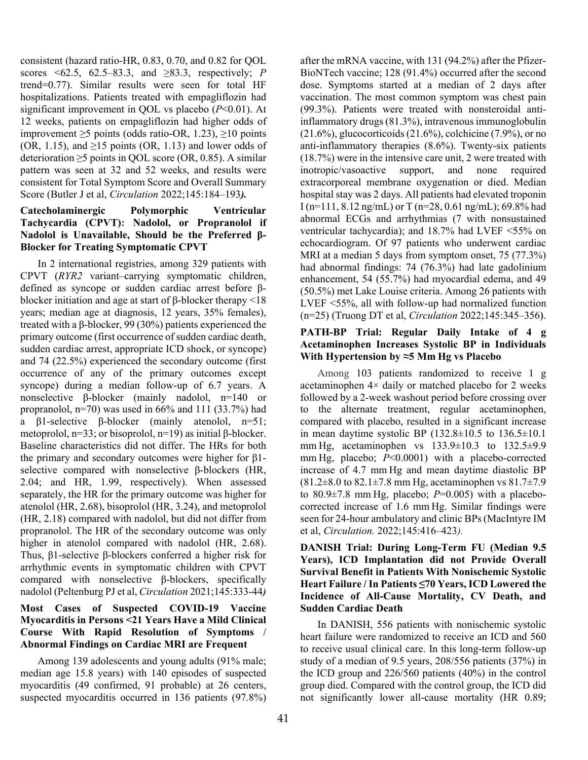consistent (hazard ratio-HR, 0.83, 0.70, and 0.82 for QOL scores <62.5, 62.5–83.3, and ≥83.3, respectively; *P* trend=0.77). Similar results were seen for total HF hospitalizations. Patients treated with empagliflozin had significant improvement in QOL vs placebo (*P*<0.01). At 12 weeks, patients on empagliflozin had higher odds of improvement  $\geq$ 5 points (odds ratio-OR, 1.23),  $\geq$ 10 points (OR, 1.15), and  $\geq$ 15 points (OR, 1.13) and lower odds of deterioration  $\geq$ 5 points in QOL score (OR, 0.85). A similar pattern was seen at 32 and 52 weeks, and results were consistent for Total Symptom Score and Overall Summary Score (Butler J et al, *Circulation* 2022;145:184–193*).*

## **Catecholaminergic Polymorphic Ventricular Tachycardia (CPVT): Nadolol, or Propranolol if Nadolol is Unavailable, Should be the Preferred β-Blocker for Treating Symptomatic CPVT**

In 2 international registries, among 329 patients with CPVT (*RYR2* variant–carrying symptomatic children, defined as syncope or sudden cardiac arrest before βblocker initiation and age at start of β-blocker therapy <18 years; median age at diagnosis, 12 years, 35% females), treated with a β-blocker, 99 (30%) patients experienced the primary outcome (first occurrence of sudden cardiac death, sudden cardiac arrest, appropriate ICD shock, or syncope) and 74 (22.5%) experienced the secondary outcome (first occurrence of any of the primary outcomes except syncope) during a median follow-up of 6.7 years. A nonselective β-blocker (mainly nadolol, n=140 or propranolol,  $n=70$ ) was used in 66% and 111 (33.7%) had a β1-selective β-blocker (mainly atenolol, n=51; metoprolol, n=33; or bisoprolol, n=19) as initial β-blocker. Baseline characteristics did not differ. The HRs for both the primary and secondary outcomes were higher for β1 selective compared with nonselective β-blockers (HR, 2.04; and HR, 1.99, respectively). When assessed separately, the HR for the primary outcome was higher for atenolol (HR, 2.68), bisoprolol (HR, 3.24), and metoprolol (HR, 2.18) compared with nadolol, but did not differ from propranolol. The HR of the secondary outcome was only higher in atenolol compared with nadolol (HR, 2.68). Thus, β1-selective β-blockers conferred a higher risk for arrhythmic events in symptomatic children with CPVT compared with nonselective β-blockers, specifically nadolol (Peltenburg PJ et al, *Circulation* 2021;145:333-44*)*

# **Most Cases of Suspected COVID-19 Vaccine Myocarditis in Persons <21 Years Have a Mild Clinical Course With Rapid Resolution of Symptoms / Abnormal Findings on Cardiac MRI are Frequent**

Among 139 adolescents and young adults (91% male; median age 15.8 years) with 140 episodes of suspected myocarditis (49 confirmed, 91 probable) at 26 centers, suspected myocarditis occurred in 136 patients (97.8%) after the mRNA vaccine, with 131 (94.2%) after the Pfizer-BioNTech vaccine; 128 (91.4%) occurred after the second dose. Symptoms started at a median of 2 days after vaccination. The most common symptom was chest pain (99.3%). Patients were treated with nonsteroidal antiinflammatory drugs (81.3%), intravenous immunoglobulin  $(21.6\%)$ , glucocorticoids  $(21.6\%)$ , colchicine  $(7.9\%)$ , or no anti-inflammatory therapies (8.6%). Twenty-six patients (18.7%) were in the intensive care unit, 2 were treated with inotropic/vasoactive support, and none required extracorporeal membrane oxygenation or died. Median hospital stay was 2 days. All patients had elevated troponin I (n=111, 8.12 ng/mL) or T (n=28, 0.61 ng/mL); 69.8% had abnormal ECGs and arrhythmias (7 with nonsustained ventricular tachycardia); and 18.7% had LVEF <55% on echocardiogram. Of 97 patients who underwent cardiac MRI at a median 5 days from symptom onset, 75 (77.3%) had abnormal findings: 74 (76.3%) had late gadolinium enhancement, 54 (55.7%) had myocardial edema, and 49 (50.5%) met Lake Louise criteria. Among 26 patients with LVEF <55%, all with follow-up had normalized function (n=25) (Truong DT et al, *Circulation* 2022;145:345–356**)**.

### **PATH-BP Trial: Regular Daily Intake of 4 g Acetaminophen Increases Systolic BP in Individuals With Hypertension by ≈5 Mm Hg vs Placebo**

Among 103 patients randomized to receive 1 g acetaminophen 4× daily or matched placebo for 2 weeks followed by a 2-week washout period before crossing over to the alternate treatment, regular acetaminophen, compared with placebo, resulted in a significant increase in mean daytime systolic BP  $(132.8\pm10.5$  to  $136.5\pm10.1$ mm Hg, acetaminophen vs 133.9±10.3 to 132.5±9.9 mm Hg, placebo; *P*<0.0001) with a placebo-corrected increase of 4.7 mm Hg and mean daytime diastolic BP  $(81.2\pm8.0 \text{ to } 82.1\pm7.8 \text{ mm Hg, acetaminophen vs } 81.7\pm7.9$ to 80.9 $\pm$ 7.8 mm Hg, placebo;  $P=0.005$ ) with a placebocorrected increase of 1.6 mm Hg. Similar findings were seen for 24-hour ambulatory and clinic BPs(MacIntyre IM et al, *Circulation.* 2022;145:416–423*).*

# **DANISH Trial: During Long-Term FU (Median 9.5 Years), ICD Implantation did not Provide Overall Survival Benefit in Patients With Nonischemic Systolic Heart Failure / In Patients ≤70 Years, ICD Lowered the Incidence of All-Cause Mortality, CV Death, and Sudden Cardiac Death**

In DANISH, 556 patients with nonischemic systolic heart failure were randomized to receive an ICD and 560 to receive usual clinical care. In this long-term follow-up study of a median of 9.5 years, 208/556 patients (37%) in the ICD group and 226/560 patients (40%) in the control group died. Compared with the control group, the ICD did not significantly lower all-cause mortality (HR 0.89;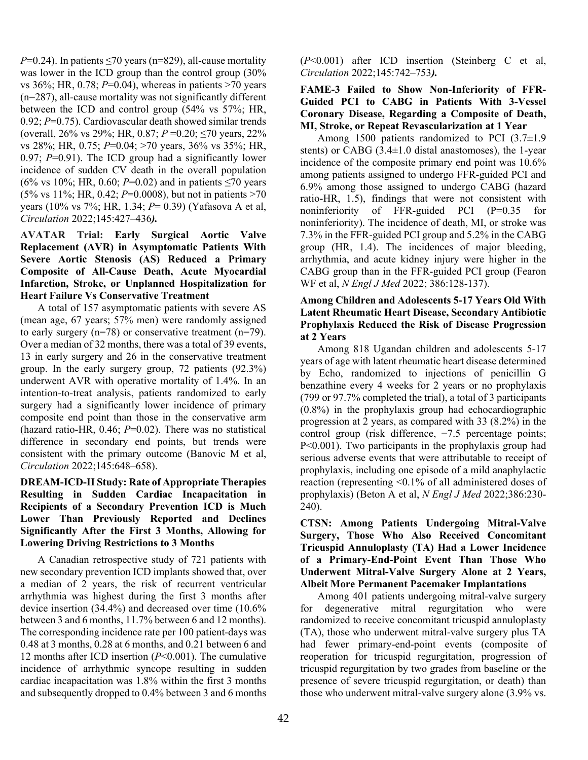*P*=0.24). In patients  $\leq$ 70 years (n=829), all-cause mortality was lower in the ICD group than the control group (30% vs 36%; HR, 0.78; *P*=0.04), whereas in patients >70 years (n=287), all-cause mortality was not significantly different between the ICD and control group (54% vs 57%; HR, 0.92; *P*=0.75). Cardiovascular death showed similar trends (overall, 26% vs 29%; HR, 0.87; *P* =0.20; ≤70 years, 22% vs 28%; HR, 0.75; *P*=0.04; >70 years, 36% vs 35%; HR, 0.97; *P*=0.91). The ICD group had a significantly lower incidence of sudden CV death in the overall population (6% vs 10%; HR, 0.60; *P*=0.02) and in patients  $\leq$ 70 years (5% vs 11%; HR, 0.42; *P*=0.0008), but not in patients >70 years (10% vs 7%; HR, 1.34; *P*= 0.39) (Yafasova A et al, *Circulation* 2022;145:427–436*).*

### **AVATAR Trial: Early Surgical Aortic Valve Replacement (AVR) in Asymptomatic Patients With Severe Aortic Stenosis (AS) Reduced a Primary Composite of All-Cause Death, Acute Myocardial Infarction, Stroke, or Unplanned Hospitalization for Heart Failure Vs Conservative Treatment**

A total of 157 asymptomatic patients with severe AS (mean age, 67 years; 57% men) were randomly assigned to early surgery  $(n=78)$  or conservative treatment  $(n=79)$ . Over a median of 32 months, there was a total of 39 events, 13 in early surgery and 26 in the conservative treatment group. In the early surgery group, 72 patients (92.3%) underwent AVR with operative mortality of 1.4%. In an intention-to-treat analysis, patients randomized to early surgery had a significantly lower incidence of primary composite end point than those in the conservative arm (hazard ratio-HR, 0.46; *P*=0.02). There was no statistical difference in secondary end points, but trends were consistent with the primary outcome (Banovic M et al, *Circulation* 2022;145:648–658).

### **DREAM-ICD-II Study: Rate of Appropriate Therapies Resulting in Sudden Cardiac Incapacitation in Recipients of a Secondary Prevention ICD is Much Lower Than Previously Reported and Declines Significantly After the First 3 Months, Allowing for Lowering Driving Restrictions to 3 Months**

A Canadian retrospective study of 721 patients with new secondary prevention ICD implants showed that, over a median of 2 years, the risk of recurrent ventricular arrhythmia was highest during the first 3 months after device insertion (34.4%) and decreased over time (10.6% between 3 and 6 months, 11.7% between 6 and 12 months). The corresponding incidence rate per 100 patient-days was 0.48 at 3 months, 0.28 at 6 months, and 0.21 between 6 and 12 months after ICD insertion (*P*<0.001). The cumulative incidence of arrhythmic syncope resulting in sudden cardiac incapacitation was 1.8% within the first 3 months and subsequently dropped to 0.4% between 3 and 6 months (*P*<0.001) after ICD insertion (Steinberg C et al, *Circulation* 2022;145:742–753*).* 

## **FAME-3 Failed to Show Non-Inferiority of FFR-Guided PCI to CABG in Patients With 3-Vessel Coronary Disease, Regarding a Composite of Death, MI, Stroke, or Repeat Revascularization at 1 Year**

Among 1500 patients randomized to PCI (3.7±1.9 stents) or CABG (3.4±1.0 distal anastomoses), the 1-year incidence of the composite primary end point was 10.6% among patients assigned to undergo FFR-guided PCI and 6.9% among those assigned to undergo CABG (hazard ratio-HR, 1.5), findings that were not consistent with noninferiority of FFR-guided PCI (P=0.35 for noninferiority). The incidence of death, MI, or stroke was 7.3% in the FFR-guided PCI group and 5.2% in the CABG group (HR, 1.4). The incidences of major bleeding, arrhythmia, and acute kidney injury were higher in the CABG group than in the FFR-guided PCI group (Fearon WF et al, *N Engl J Med* 2022; 386:128-137).

# **Among Children and Adolescents 5-17 Years Old With Latent Rheumatic Heart Disease, Secondary Antibiotic Prophylaxis Reduced the Risk of Disease Progression at 2 Years**

Among 818 Ugandan children and adolescents 5-17 years of age with latent rheumatic heart disease determined by Echo, randomized to injections of penicillin G benzathine every 4 weeks for 2 years or no prophylaxis (799 or 97.7% completed the trial), a total of 3 participants (0.8%) in the prophylaxis group had echocardiographic progression at 2 years, as compared with 33 (8.2%) in the control group (risk difference, −7.5 percentage points; P<0.001). Two participants in the prophylaxis group had serious adverse events that were attributable to receipt of prophylaxis, including one episode of a mild anaphylactic reaction (representing <0.1% of all administered doses of prophylaxis) (Beton A et al, *N Engl J Med* 2022;386:230- 240).

**CTSN: Among Patients Undergoing Mitral-Valve Surgery, Those Who Also Received Concomitant Tricuspid Annuloplasty (TA) Had a Lower Incidence of a Primary-End-Point Event Than Those Who Underwent Mitral-Valve Surgery Alone at 2 Years, Albeit More Permanent Pacemaker Implantations** 

Among 401 patients undergoing mitral-valve surgery for degenerative mitral regurgitation who were randomized to receive concomitant tricuspid annuloplasty (TA), those who underwent mitral-valve surgery plus TA had fewer primary-end-point events (composite of reoperation for tricuspid regurgitation, progression of tricuspid regurgitation by two grades from baseline or the presence of severe tricuspid regurgitation, or death) than those who underwent mitral-valve surgery alone (3.9% vs.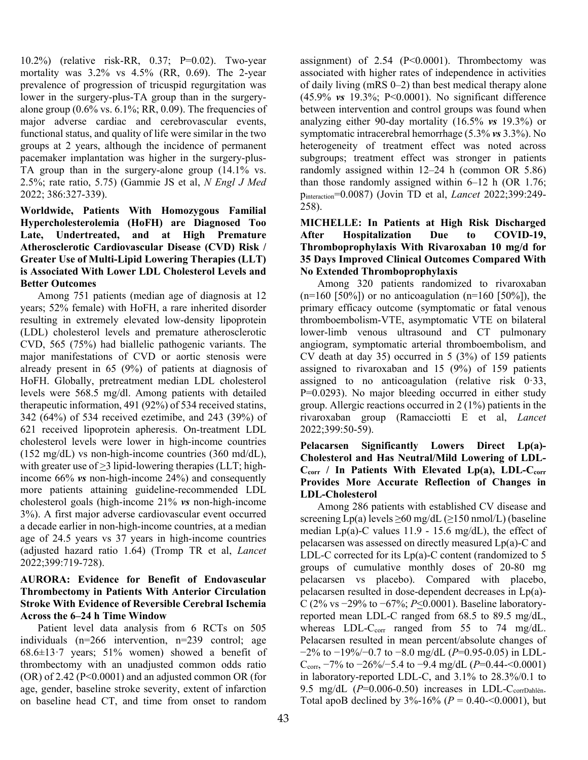10.2%) (relative risk-RR, 0.37; P=0.02). Two-year mortality was 3.2% vs 4.5% (RR, 0.69). The 2-year prevalence of progression of tricuspid regurgitation was lower in the surgery-plus-TA group than in the surgeryalone group  $(0.6\% \text{ vs. } 6.1\%; RR, 0.09)$ . The frequencies of major adverse cardiac and cerebrovascular events, functional status, and quality of life were similar in the two groups at 2 years, although the incidence of permanent pacemaker implantation was higher in the surgery-plus-TA group than in the surgery-alone group (14.1% vs. 2.5%; rate ratio, 5.75) (Gammie JS et al, *N Engl J Med* 2022; 386:327-339).

# **Worldwide, Patients With Homozygous Familial Hypercholesterolemia (HoFH) are Diagnosed Too Late, Undertreated, and at High Premature Atherosclerotic Cardiovascular Disease (CVD) Risk / Greater Use of Multi-Lipid Lowering Therapies (LLT) is Associated With Lower LDL Cholesterol Levels and Better Outcomes**

Among 751 patients (median age of diagnosis at 12 years; 52% female) with HoFH, a rare inherited disorder resulting in extremely elevated low-density lipoprotein (LDL) cholesterol levels and premature atherosclerotic CVD, 565 (75%) had biallelic pathogenic variants. The major manifestations of CVD or aortic stenosis were already present in 65 (9%) of patients at diagnosis of HoFH. Globally, pretreatment median LDL cholesterol levels were 568.5 mg/dl. Among patients with detailed therapeutic information, 491 (92%) of 534 received statins, 342 (64%) of 534 received ezetimibe, and 243 (39%) of 621 received lipoprotein apheresis. On-treatment LDL cholesterol levels were lower in high-income countries (152 mg/dL) vs non-high-income countries (360 md/dL), with greater use of  $>3$  lipid-lowering therapies (LLT; highincome 66% *vs* non-high-income 24%) and consequently more patients attaining guideline-recommended LDL cholesterol goals (high-income 21% *vs* non-high-income 3%). A first major adverse cardiovascular event occurred a decade earlier in non-high-income countries, at a median age of 24.5 years vs 37 years in high-income countries (adjusted hazard ratio 1.64) (Tromp TR et al, *Lancet* 2022;399:719-728).

### **AURORA: Evidence for Benefit of Endovascular Thrombectomy in Patients With Anterior Circulation Stroke With Evidence of Reversible Cerebral Ischemia Across the 6–24 h Time Window**

Patient level data analysis from 6 RCTs on 505 individuals (n=266 intervention, n=239 control; age 68.6 $\pm$ 13 $\cdot$ 7 years; 51% women) showed a benefit of thrombectomy with an unadjusted common odds ratio  $(OR)$  of 2.42 (P<0.0001) and an adjusted common OR (for age, gender, baseline stroke severity, extent of infarction on baseline head CT, and time from onset to random

assignment) of  $2.54$  (P<0.0001). Thrombectomy was associated with higher rates of independence in activities of daily living (mRS 0–2) than best medical therapy alone (45.9% *vs* 19.3%; P<0.0001). No significant difference between intervention and control groups was found when analyzing either 90-day mortality (16.5% *vs* 19.3%) or symptomatic intracerebral hemorrhage (5.3% *vs* 3.3%). No heterogeneity of treatment effect was noted across subgroups; treatment effect was stronger in patients randomly assigned within 12–24 h (common OR 5.86) than those randomly assigned within 6–12 h (OR 1.76; pinteraction=0.0087) (Jovin TD et al, *Lancet* 2022;399:249- 258).

# **MICHELLE: In Patients at High Risk Discharged After Hospitalization Due to COVID-19, Thromboprophylaxis With Rivaroxaban 10 mg/d for 35 Days Improved Clinical Outcomes Compared With No Extended Thromboprophylaxis**

Among 320 patients randomized to rivaroxaban  $(n=160 \, [50\%])$  or no anticoagulation  $(n=160 \, [50\%])$ , the primary efficacy outcome (symptomatic or fatal venous thromboembolism-VTE, asymptomatic VTE on bilateral lower-limb venous ultrasound and CT pulmonary angiogram, symptomatic arterial thromboembolism, and CV death at day 35) occurred in 5 (3%) of 159 patients assigned to rivaroxaban and 15 (9%) of 159 patients assigned to no anticoagulation (relative risk  $0.33$ , P=0.0293). No major bleeding occurred in either study group. Allergic reactions occurred in 2 (1%) patients in the rivaroxaban group (Ramacciotti E et al, *Lancet* 2022;399:50-59).

# **Pelacarsen Significantly Lowers Direct Lp(a)- Cholesterol and Has Neutral/Mild Lowering of LDL-**C<sub>corr</sub> / In Patients With Elevated Lp(a), LDL-C<sub>corr</sub> **Provides More Accurate Reflection of Changes in LDL-Cholesterol**

Among 286 patients with established CV disease and screening  $Lp(a)$  levels  $\geq 60$  mg/dL ( $\geq 150$  nmol/L) (baseline median  $Lp(a)$ -C values 11.9 - 15.6 mg/dL), the effect of pelacarsen was assessed on directly measured Lp(a)-C and LDL-C corrected for its Lp(a)-C content (randomized to 5 groups of cumulative monthly doses of 20-80 mg pelacarsen vs placebo). Compared with placebo, pelacarsen resulted in dose-dependent decreases in Lp(a)- C (2% vs −29% to −67%; *P*<0.0001). Baseline laboratoryreported mean LDL-C ranged from 68.5 to 89.5 mg/dL, whereas LDL-C<sub>corr</sub> ranged from 55 to 74 mg/dL. Pelacarsen resulted in mean percent/absolute changes of −2% to −19%/−0.7 to −8.0 mg/dL (*P*=0.95-0.05) in LDL-Ccorr, −7% to −26%/−5.4 to −9.4 mg/dL (*P*=0.44-<0.0001) in laboratory-reported LDL-C, and 3.1% to 28.3%/0.1 to 9.5 mg/dL  $(P=0.006-0.50)$  increases in LDL-C<sub>corrDahlén</sub>. Total apoB declined by 3%-16% (*P* = 0.40-<0.0001), but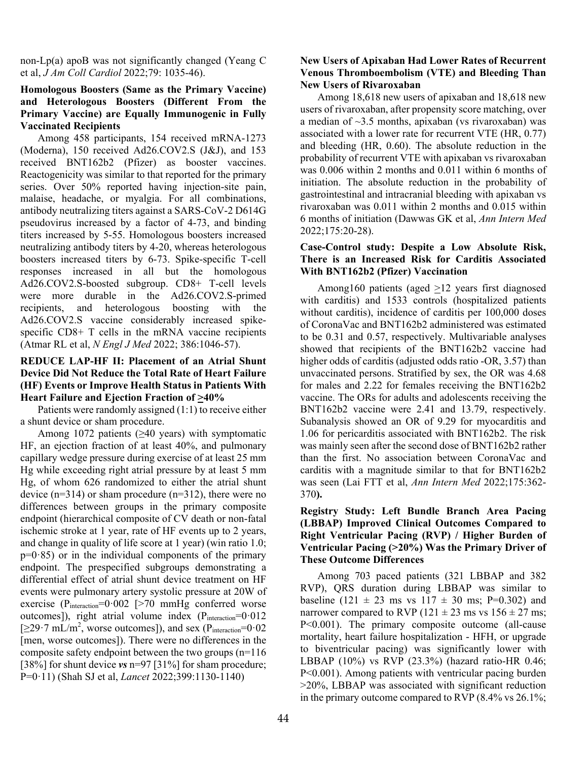non-Lp(a) apoB was not significantly changed (Yeang C et al, *J Am Coll Cardiol* 2022;79: 1035-46).

### **Homologous Boosters (Same as the Primary Vaccine) and Heterologous Boosters (Different From the Primary Vaccine) are Equally Immunogenic in Fully Vaccinated Recipients**

Among 458 participants, 154 received mRNA-1273 (Moderna), 150 received Ad26.COV2.S (J&J), and 153 received BNT162b2 (Pfizer) as booster vaccines. Reactogenicity was similar to that reported for the primary series. Over 50% reported having injection-site pain, malaise, headache, or myalgia. For all combinations, antibody neutralizing titers against a SARS-CoV-2 D614G pseudovirus increased by a factor of 4-73, and binding titers increased by 5-55. Homologous boosters increased neutralizing antibody titers by 4-20, whereas heterologous boosters increased titers by 6-73. Spike-specific T-cell responses increased in all but the homologous Ad26.COV2.S-boosted subgroup. CD8+ T-cell levels were more durable in the Ad26.COV2.S-primed recipients, and heterologous boosting with the Ad26.COV2.S vaccine considerably increased spikespecific CD8+ T cells in the mRNA vaccine recipients (Atmar RL et al, *N Engl J Med* 2022; 386:1046-57).

## **REDUCE LAP-HF II: Placement of an Atrial Shunt Device Did Not Reduce the Total Rate of Heart Failure (HF) Events or Improve Health Status in Patients With Heart Failure and Ejection Fraction of >40%**

Patients were randomly assigned (1:1) to receive either a shunt device or sham procedure.

Among 1072 patients  $(\geq 40 \text{ years})$  with symptomatic HF, an ejection fraction of at least 40%, and pulmonary capillary wedge pressure during exercise of at least 25 mm Hg while exceeding right atrial pressure by at least 5 mm Hg, of whom 626 randomized to either the atrial shunt device  $(n=314)$  or sham procedure  $(n=312)$ , there were no differences between groups in the primary composite endpoint (hierarchical composite of CV death or non-fatal ischemic stroke at 1 year, rate of HF events up to 2 years, and change in quality of life score at 1 year) (win ratio 1.0;  $p=0.85$ ) or in the individual components of the primary endpoint. The prespecified subgroups demonstrating a differential effect of atrial shunt device treatment on HF events were pulmonary artery systolic pressure at 20W of exercise ( $P_{interaction} = 0.002$  [>70 mmHg conferred worse outcomes]), right atrial volume index (Pinteraction=0.012  $[29.7 \text{ mL/m}^2,$  worse outcomes]), and sex  $(P_{\text{interaction}}=0.02$ [men, worse outcomes]). There were no differences in the composite safety endpoint between the two groups (n=116 [38%] for shunt device *vs* n=97 [31%] for sham procedure; P=0ꞏ11) (Shah SJ et al, *Lancet* 2022;399:1130-1140)

### **New Users of Apixaban Had Lower Rates of Recurrent Venous Thromboembolism (VTE) and Bleeding Than New Users of Rivaroxaban**

Among 18,618 new users of apixaban and 18,618 new users of rivaroxaban, after propensity score matching, over a median of  $\sim$ 3.5 months, apixaban (vs rivaroxaban) was associated with a lower rate for recurrent VTE (HR, 0.77) and bleeding (HR, 0.60). The absolute reduction in the probability of recurrent VTE with apixaban vs rivaroxaban was 0.006 within 2 months and 0.011 within 6 months of initiation. The absolute reduction in the probability of gastrointestinal and intracranial bleeding with apixaban vs rivaroxaban was 0.011 within 2 months and 0.015 within 6 months of initiation (Dawwas GK et al, *Ann Intern Med* 2022;175:20-28).

### **Case-Control study: Despite a Low Absolute Risk, There is an Increased Risk for Carditis Associated With BNT162b2 (Pfizer) Vaccination**

Among160 patients (aged  $\geq$ 12 years first diagnosed with carditis) and 1533 controls (hospitalized patients without carditis), incidence of carditis per 100,000 doses of CoronaVac and BNT162b2 administered was estimated to be 0.31 and 0.57, respectively. Multivariable analyses showed that recipients of the BNT162b2 vaccine had higher odds of carditis (adjusted odds ratio -OR, 3.57) than unvaccinated persons. Stratified by sex, the OR was 4.68 for males and 2.22 for females receiving the BNT162b2 vaccine. The ORs for adults and adolescents receiving the BNT162b2 vaccine were 2.41 and 13.79, respectively. Subanalysis showed an OR of 9.29 for myocarditis and 1.06 for pericarditis associated with BNT162b2. The risk was mainly seen after the second dose of BNT162b2 rather than the first. No association between CoronaVac and carditis with a magnitude similar to that for BNT162b2 was seen (Lai FTT et al, *Ann Intern Med* 2022;175:362- 370**).** 

# **Registry Study: Left Bundle Branch Area Pacing (LBBAP) Improved Clinical Outcomes Compared to Right Ventricular Pacing (RVP) / Higher Burden of Ventricular Pacing (>20%) Was the Primary Driver of These Outcome Differences**

Among 703 paced patients (321 LBBAP and 382 RVP), QRS duration during LBBAP was similar to baseline (121  $\pm$  23 ms vs 117  $\pm$  30 ms; P=0.302) and narrower compared to RVP ( $121 \pm 23$  ms vs  $156 \pm 27$  ms; P<0.001). The primary composite outcome (all-cause mortality, heart failure hospitalization - HFH, or upgrade to biventricular pacing) was significantly lower with LBBAP (10%) vs RVP (23.3%) (hazard ratio-HR 0.46; P<0.001). Among patients with ventricular pacing burden >20%, LBBAP was associated with significant reduction in the primary outcome compared to RVP (8.4% vs 26.1%;